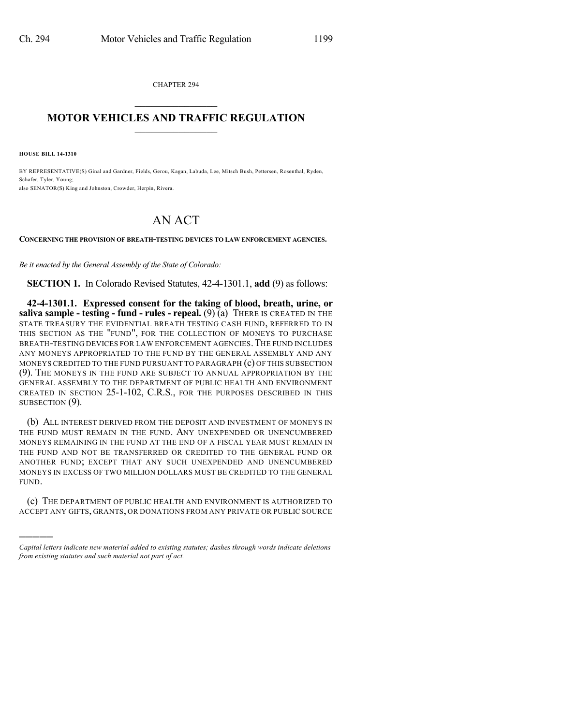CHAPTER 294  $\overline{\phantom{a}}$  . The set of the set of the set of the set of the set of the set of the set of the set of the set of the set of the set of the set of the set of the set of the set of the set of the set of the set of the set o

## **MOTOR VEHICLES AND TRAFFIC REGULATION**  $\frac{1}{2}$  ,  $\frac{1}{2}$  ,  $\frac{1}{2}$  ,  $\frac{1}{2}$  ,  $\frac{1}{2}$  ,  $\frac{1}{2}$  ,  $\frac{1}{2}$

**HOUSE BILL 14-1310**

)))))

BY REPRESENTATIVE(S) Ginal and Gardner, Fields, Gerou, Kagan, Labuda, Lee, Mitsch Bush, Pettersen, Rosenthal, Ryden, Schafer, Tyler, Young; also SENATOR(S) King and Johnston, Crowder, Herpin, Rivera.

## AN ACT

**CONCERNING THE PROVISION OF BREATH-TESTING DEVICES TO LAW ENFORCEMENT AGENCIES.**

*Be it enacted by the General Assembly of the State of Colorado:*

**SECTION 1.** In Colorado Revised Statutes, 42-4-1301.1, **add** (9) as follows:

**42-4-1301.1. Expressed consent for the taking of blood, breath, urine, or saliva sample - testing - fund - rules - repeal.** (9) (a) THERE IS CREATED IN THE STATE TREASURY THE EVIDENTIAL BREATH TESTING CASH FUND, REFERRED TO IN THIS SECTION AS THE "FUND", FOR THE COLLECTION OF MONEYS TO PURCHASE BREATH-TESTING DEVICES FOR LAW ENFORCEMENT AGENCIES. THE FUND INCLUDES ANY MONEYS APPROPRIATED TO THE FUND BY THE GENERAL ASSEMBLY AND ANY MONEYS CREDITED TO THE FUND PURSUANT TO PARAGRAPH (c) OF THIS SUBSECTION (9). THE MONEYS IN THE FUND ARE SUBJECT TO ANNUAL APPROPRIATION BY THE GENERAL ASSEMBLY TO THE DEPARTMENT OF PUBLIC HEALTH AND ENVIRONMENT CREATED IN SECTION 25-1-102, C.R.S., FOR THE PURPOSES DESCRIBED IN THIS SUBSECTION  $(9)$ .

(b) ALL INTEREST DERIVED FROM THE DEPOSIT AND INVESTMENT OF MONEYS IN THE FUND MUST REMAIN IN THE FUND. ANY UNEXPENDED OR UNENCUMBERED MONEYS REMAINING IN THE FUND AT THE END OF A FISCAL YEAR MUST REMAIN IN THE FUND AND NOT BE TRANSFERRED OR CREDITED TO THE GENERAL FUND OR ANOTHER FUND; EXCEPT THAT ANY SUCH UNEXPENDED AND UNENCUMBERED MONEYS IN EXCESS OF TWO MILLION DOLLARS MUST BE CREDITED TO THE GENERAL FUND.

(c) THE DEPARTMENT OF PUBLIC HEALTH AND ENVIRONMENT IS AUTHORIZED TO ACCEPT ANY GIFTS, GRANTS, OR DONATIONS FROM ANY PRIVATE OR PUBLIC SOURCE

*Capital letters indicate new material added to existing statutes; dashes through words indicate deletions from existing statutes and such material not part of act.*